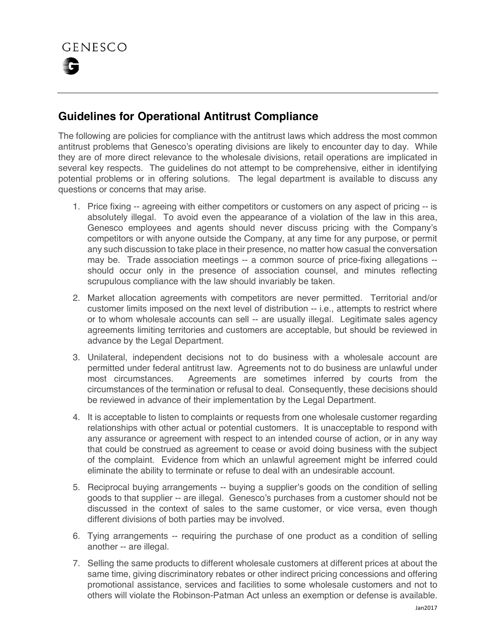## **Guidelines for Operational Antitrust Compliance**

The following are policies for compliance with the antitrust laws which address the most common antitrust problems that Genesco's operating divisions are likely to encounter day to day. While they are of more direct relevance to the wholesale divisions, retail operations are implicated in several key respects. The guidelines do not attempt to be comprehensive, either in identifying potential problems or in offering solutions. The legal department is available to discuss any questions or concerns that may arise.

- 1. Price fixing -- agreeing with either competitors or customers on any aspect of pricing -- is absolutely illegal. To avoid even the appearance of a violation of the law in this area, Genesco employees and agents should never discuss pricing with the Company's competitors or with anyone outside the Company, at any time for any purpose, or permit any such discussion to take place in their presence, no matter how casual the conversation may be. Trade association meetings -- a common source of price-fixing allegations - should occur only in the presence of association counsel, and minutes reflecting scrupulous compliance with the law should invariably be taken.
- 2. Market allocation agreements with competitors are never permitted. Territorial and/or customer limits imposed on the next level of distribution -- i.e., attempts to restrict where or to whom wholesale accounts can sell -- are usually illegal. Legitimate sales agency agreements limiting territories and customers are acceptable, but should be reviewed in advance by the Legal Department.
- 3. Unilateral, independent decisions not to do business with a wholesale account are permitted under federal antitrust law. Agreements not to do business are unlawful under most circumstances. Agreements are sometimes inferred by courts from the circumstances of the termination or refusal to deal. Consequently, these decisions should be reviewed in advance of their implementation by the Legal Department.
- 4. It is acceptable to listen to complaints or requests from one wholesale customer regarding relationships with other actual or potential customers. It is unacceptable to respond with any assurance or agreement with respect to an intended course of action, or in any way that could be construed as agreement to cease or avoid doing business with the subject of the complaint. Evidence from which an unlawful agreement might be inferred could eliminate the ability to terminate or refuse to deal with an undesirable account.
- 5. Reciprocal buying arrangements -- buying a supplier's goods on the condition of selling goods to that supplier -- are illegal. Genesco's purchases from a customer should not be discussed in the context of sales to the same customer, or vice versa, even though different divisions of both parties may be involved.
- 6. Tying arrangements -- requiring the purchase of one product as a condition of selling another -- are illegal.
- 7. Selling the same products to different wholesale customers at different prices at about the same time, giving discriminatory rebates or other indirect pricing concessions and offering promotional assistance, services and facilities to some wholesale customers and not to others will violate the Robinson-Patman Act unless an exemption or defense is available.